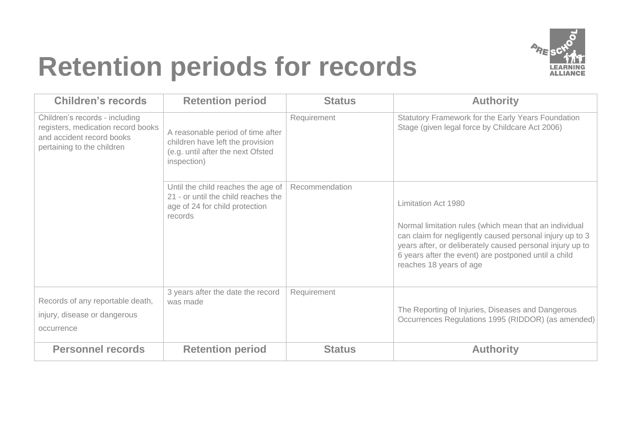

## **Retention periods for records**

| <b>Children's records</b>                                                                                                       | <b>Retention period</b>                                                                                                                  | <b>Status</b>  | <b>Authority</b>                                                                                                                                                                                                                                                                          |
|---------------------------------------------------------------------------------------------------------------------------------|------------------------------------------------------------------------------------------------------------------------------------------|----------------|-------------------------------------------------------------------------------------------------------------------------------------------------------------------------------------------------------------------------------------------------------------------------------------------|
| Children's records - including<br>registers, medication record books<br>and accident record books<br>pertaining to the children | Requirement<br>A reasonable period of time after<br>children have left the provision<br>(e.g. until after the next Ofsted<br>inspection) |                | Statutory Framework for the Early Years Foundation<br>Stage (given legal force by Childcare Act 2006)                                                                                                                                                                                     |
|                                                                                                                                 | Until the child reaches the age of<br>21 - or until the child reaches the<br>age of 24 for child protection<br>records                   | Recommendation | Limitation Act 1980<br>Normal limitation rules (which mean that an individual<br>can claim for negligently caused personal injury up to 3<br>years after, or deliberately caused personal injury up to<br>6 years after the event) are postponed until a child<br>reaches 18 years of age |
| Records of any reportable death,<br>injury, disease or dangerous<br>occurrence                                                  | 3 years after the date the record<br>was made                                                                                            | Requirement    | The Reporting of Injuries, Diseases and Dangerous<br>Occurrences Regulations 1995 (RIDDOR) (as amended)                                                                                                                                                                                   |
| <b>Personnel records</b>                                                                                                        | <b>Retention period</b>                                                                                                                  | <b>Status</b>  | <b>Authority</b>                                                                                                                                                                                                                                                                          |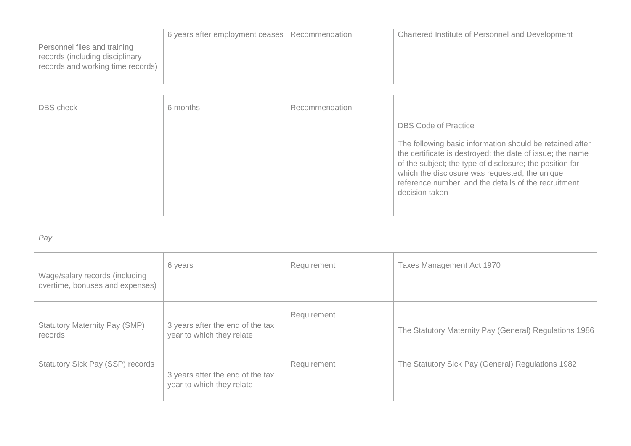|                                                                                                      | 6 years after employment ceases   Recommendation | Chartered Institute of Personnel and Development |
|------------------------------------------------------------------------------------------------------|--------------------------------------------------|--------------------------------------------------|
| Personnel files and training<br>records (including disciplinary<br>records and working time records) |                                                  |                                                  |

| <b>DBS</b> check                                                  | 6 months                                                      | Recommendation | <b>DBS Code of Practice</b><br>The following basic information should be retained after<br>the certificate is destroyed: the date of issue; the name<br>of the subject; the type of disclosure; the position for<br>which the disclosure was requested; the unique<br>reference number; and the details of the recruitment<br>decision taken |
|-------------------------------------------------------------------|---------------------------------------------------------------|----------------|----------------------------------------------------------------------------------------------------------------------------------------------------------------------------------------------------------------------------------------------------------------------------------------------------------------------------------------------|
| Pay                                                               |                                                               |                |                                                                                                                                                                                                                                                                                                                                              |
| Wage/salary records (including<br>overtime, bonuses and expenses) | 6 years                                                       | Requirement    | Taxes Management Act 1970                                                                                                                                                                                                                                                                                                                    |
| <b>Statutory Maternity Pay (SMP)</b><br>records                   | 3 years after the end of the tax<br>year to which they relate | Requirement    | The Statutory Maternity Pay (General) Regulations 1986                                                                                                                                                                                                                                                                                       |
| <b>Statutory Sick Pay (SSP) records</b>                           | 3 years after the end of the tax<br>year to which they relate | Requirement    | The Statutory Sick Pay (General) Regulations 1982                                                                                                                                                                                                                                                                                            |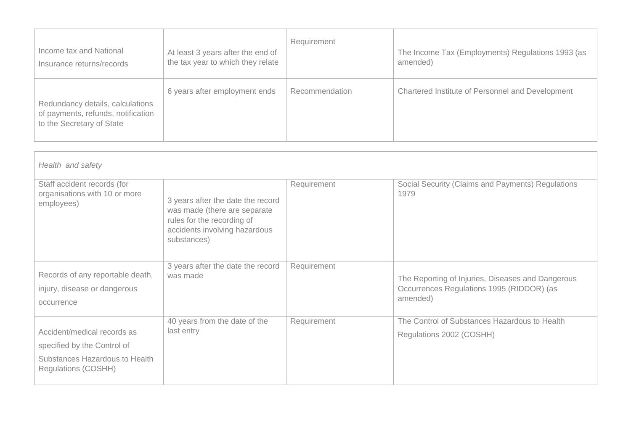| Income tax and National                                                                             | At least 3 years after the end of | Requirement    | The Income Tax (Employments) Regulations 1993 (as |
|-----------------------------------------------------------------------------------------------------|-----------------------------------|----------------|---------------------------------------------------|
| Insurance returns/records                                                                           | the tax year to which they relate |                | amended)                                          |
| Redundancy details, calculations<br>of payments, refunds, notification<br>to the Secretary of State | 6 years after employment ends     | Recommendation | Chartered Institute of Personnel and Development  |

| Health and safety                                                                                                          |                                                                                                                                                 |             |                                                                                                            |
|----------------------------------------------------------------------------------------------------------------------------|-------------------------------------------------------------------------------------------------------------------------------------------------|-------------|------------------------------------------------------------------------------------------------------------|
| Staff accident records (for<br>organisations with 10 or more<br>employees)                                                 | 3 years after the date the record<br>was made (there are separate<br>rules for the recording of<br>accidents involving hazardous<br>substances) | Requirement | Social Security (Claims and Payments) Regulations<br>1979                                                  |
| Records of any reportable death,<br>injury, disease or dangerous<br>occurrence                                             | 3 years after the date the record<br>was made                                                                                                   | Requirement | The Reporting of Injuries, Diseases and Dangerous<br>Occurrences Regulations 1995 (RIDDOR) (as<br>amended) |
| Accident/medical records as<br>specified by the Control of<br>Substances Hazardous to Health<br><b>Regulations (COSHH)</b> | 40 years from the date of the<br>last entry                                                                                                     | Requirement | The Control of Substances Hazardous to Health<br>Regulations 2002 (COSHH)                                  |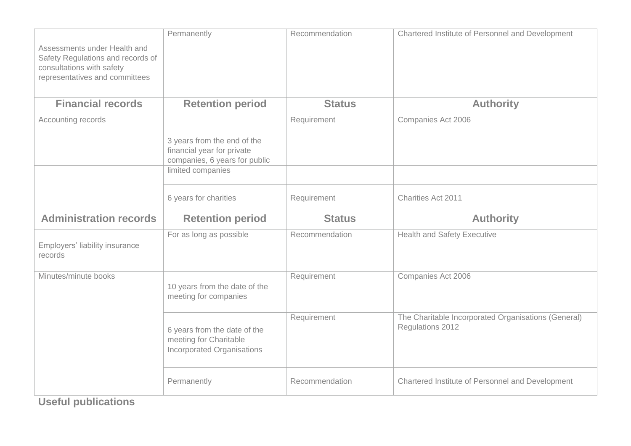| Assessments under Health and<br>Safety Regulations and records of<br>consultations with safety<br>representatives and committees | Permanently                                                                                                     | Recommendation | Chartered Institute of Personnel and Development                        |
|----------------------------------------------------------------------------------------------------------------------------------|-----------------------------------------------------------------------------------------------------------------|----------------|-------------------------------------------------------------------------|
| <b>Financial records</b>                                                                                                         | <b>Retention period</b>                                                                                         | <b>Status</b>  | <b>Authority</b>                                                        |
| Accounting records                                                                                                               | 3 years from the end of the<br>financial year for private<br>companies, 6 years for public<br>limited companies | Requirement    | Companies Act 2006                                                      |
|                                                                                                                                  |                                                                                                                 |                |                                                                         |
|                                                                                                                                  | 6 years for charities                                                                                           | Requirement    | Charities Act 2011                                                      |
| <b>Administration records</b>                                                                                                    | <b>Retention period</b>                                                                                         | <b>Status</b>  | <b>Authority</b>                                                        |
| Employers' liability insurance<br>records                                                                                        | For as long as possible                                                                                         | Recommendation | <b>Health and Safety Executive</b>                                      |
| Minutes/minute books                                                                                                             | 10 years from the date of the<br>meeting for companies                                                          | Requirement    | Companies Act 2006                                                      |
|                                                                                                                                  | 6 years from the date of the<br>meeting for Charitable<br><b>Incorporated Organisations</b>                     | Requirement    | The Charitable Incorporated Organisations (General)<br>Regulations 2012 |
|                                                                                                                                  |                                                                                                                 |                |                                                                         |

**Useful publications**